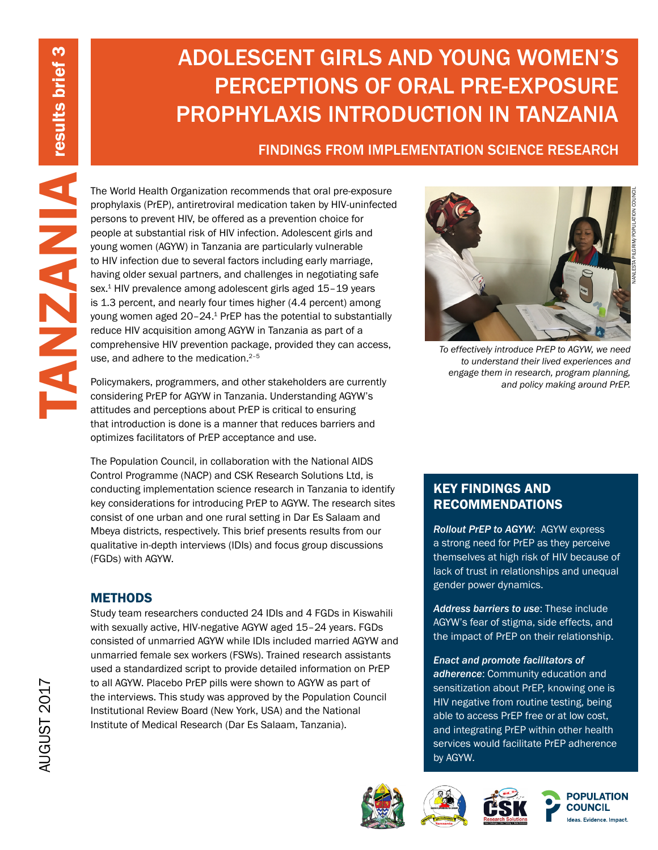# ADOLESCENT GIRLS AND YOUNG WOMEN'S PERCEPTIONS OF ORAL PRE-EXPOSURE PROPHYLAXIS INTRODUCTION IN TANZANIA

FINDINGS FROM IMPLEMENTATION SCIENCE RESEARCH

The World Health Organization recommends that oral pre-exposure<br>prophylatis (PREP), antitertorial medication take of properties and<br>young women MHV, when from the yelf-value for<br>people at substantial risk of HIV infection. prophylaxis (PrEP), antiretroviral medication taken by HIV-uninfected persons to prevent HIV, be offered as a prevention choice for people at substantial risk of HIV infection. Adolescent girls and young women (AGYW) in Tanzania are particularly vulnerable to HIV infection due to several factors including early marriage, having older sexual partners, and challenges in negotiating safe sex.<sup>1</sup> HIV prevalence among adolescent girls aged 15-19 years is 1.3 percent, and nearly four times higher (4.4 percent) among young women aged 20–24.1 PrEP has the potential to substantially reduce HIV acquisition among AGYW in Tanzania as part of a comprehensive HIV prevention package, provided they can access, use, and adhere to the medication.<sup>2-5</sup>

Policymakers, programmers, and other stakeholders are currently considering PrEP for AGYW in Tanzania. Understanding AGYW's attitudes and perceptions about PrEP is critical to ensuring that introduction is done is a manner that reduces barriers and optimizes facilitators of PrEP acceptance and use.

The Population Council, in collaboration with the National AIDS Control Programme (NACP) and CSK Research Solutions Ltd, is conducting implementation science research in Tanzania to identify key considerations for introducing PrEP to AGYW. The research sites consist of one urban and one rural setting in Dar Es Salaam and Mbeya districts, respectively. This brief presents results from our qualitative in-depth interviews (IDIs) and focus group discussions (FGDs) with AGYW.

# **METHODS**

Study team researchers conducted 24 IDIs and 4 FGDs in Kiswahili with sexually active, HIV-negative AGYW aged 15–24 years. FGDs consisted of unmarried AGYW while IDIs included married AGYW and unmarried female sex workers (FSWs). Trained research assistants used a standardized script to provide detailed information on PrEP to all AGYW. Placebo PrEP pills were shown to AGYW as part of the interviews. This study was approved by the Population Council Institutional Review Board (New York, USA) and the National Institute of Medical Research (Dar Es Salaam, Tanzania).



*To effectively introduce PrEP to AGYW, we need to understand their lived experiences and engage them in research, program planning,* 

NANLESTA PILGRIM/POPULATION COUNCIL

*and policy making around PrEP.*

# KEY FINDINGS AND RECOMMENDATIONS

*Rollout PrEP to AGYW*: AGYW express a strong need for PrEP as they perceive themselves at high risk of HIV because of lack of trust in relationships and unequal gender power dynamics.

*Address barriers to use*: These include AGYW's fear of stigma, side effects, and the impact of PrEP on their relationship.

*Enact and promote facilitators of adherence*: Community education and sensitization about PrEP, knowing one is HIV negative from routine testing, being able to access PrEP free or at low cost, and integrating PrEP within other health services would facilitate PrEP adherence by AGYW.







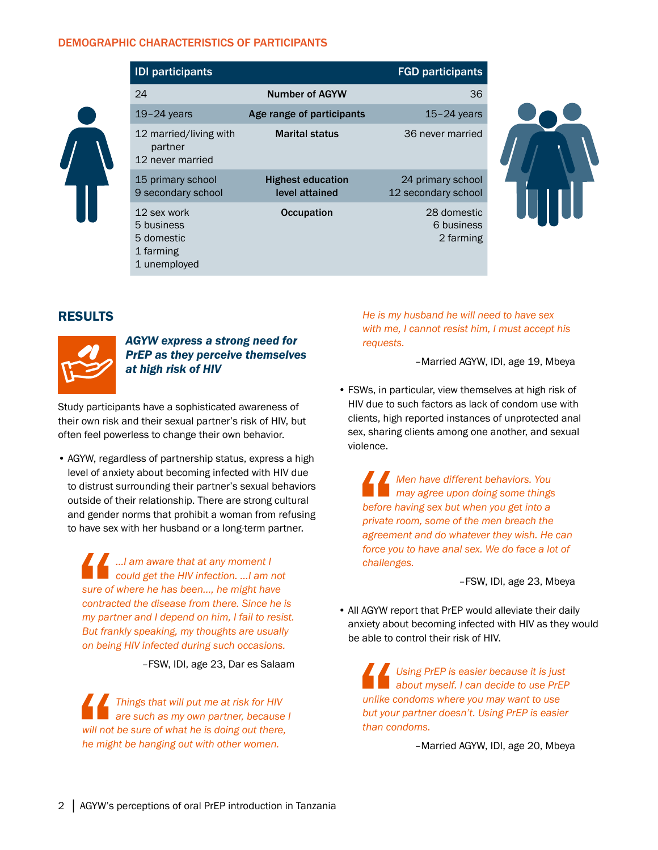#### DEMOGRAPHIC CHARACTERISTICS OF PARTICIPANTS



| <b>IDI</b> participants                                              |                                            | <b>FGD participants</b>                  |
|----------------------------------------------------------------------|--------------------------------------------|------------------------------------------|
| 24                                                                   | <b>Number of AGYW</b>                      | 36                                       |
| $19-24$ years                                                        | Age range of participants                  | $15-24$ years                            |
| 12 married/living with<br>partner<br>12 never married                | <b>Marital status</b>                      | 36 never married                         |
| 15 primary school<br>9 secondary school                              | <b>Highest education</b><br>level attained | 24 primary school<br>12 secondary school |
| 12 sex work<br>5 business<br>5 domestic<br>1 farming<br>1 unemployed | <b>Occupation</b>                          | 28 domestic<br>6 business<br>2 farming   |



## RESULTS



#### *AGYW express a strong need for PrEP as they perceive themselves at high risk of HIV*

Study participants have a sophisticated awareness of their own risk and their sexual partner's risk of HIV, but often feel powerless to change their own behavior.

• AGYW, regardless of partnership status, express a high level of anxiety about becoming infected with HIV due to distrust surrounding their partner's sexual behaviors outside of their relationship. There are strong cultural and gender norms that prohibit a woman from refusing to have sex with her husband or a long-term partner.

sure of<br>
sure of<br>
contract<br>
my part<br>
But frain<br>
on bein *...I am aware that at any moment I could get the HIV infection. ...I am not sure of where he has been..., he might have contracted the disease from there. Since he is my partner and I depend on him, I fail to resist. But frankly speaking, my thoughts are usually on being HIV infected during such occasions.* 

–FSW, IDI, age 23, Dar es Salaam

will not<br>
the might *Things that will put me at risk for HIV are such as my own partner, because I will not be sure of what he is doing out there, he might be hanging out with other women.* 

*He is my husband he will need to have sex with me, I cannot resist him, I must accept his requests.* 

–Married AGYW, IDI, age 19, Mbeya

• FSWs, in particular, view themselves at high risk of HIV due to such factors as lack of condom use with clients, high reported instances of unprotected anal sex, sharing clients among one another, and sexual violence.

before<br>
private<br>
agreem<br>
force you<br>
challen *Men have different behaviors. You may agree upon doing some things before having sex but when you get into a private room, some of the men breach the agreement and do whatever they wish. He can force you to have anal sex. We do face a lot of challenges.* 

–FSW, IDI, age 23, Mbeya

• All AGYW report that PrEP would alleviate their daily anxiety about becoming infected with HIV as they would be able to control their risk of HIV.

unlike c<br>unlike c<br>but you<br>than co *Using PrEP is easier because it is just about myself. I can decide to use PrEP unlike condoms where you may want to use but your partner doesn't. Using PrEP is easier than condoms.* 

–Married AGYW, IDI, age 20, Mbeya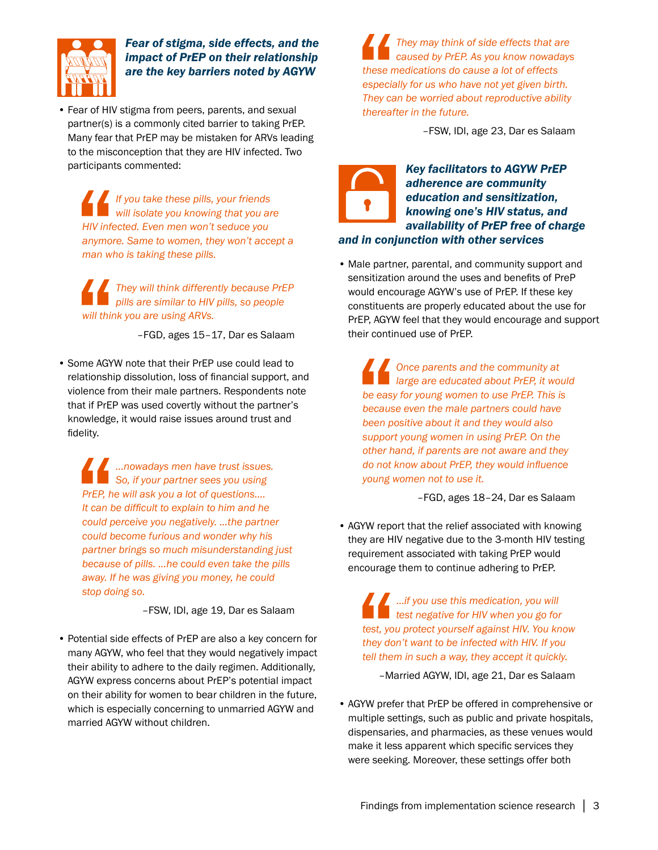

# *Fear of stigma, side effects, and the impact of PrEP on their relationship are the key barriers noted by AGYW*

• Fear of HIV stigma from peers, parents, and sexual partner(s) is a commonly cited barrier to taking PrEP. Many fear that PrEP may be mistaken for ARVs leading to the misconception that they are HIV infected. Two participants commented:

HIV inferences *If you take these pills, your friends will isolate you knowing that you are HIV infected. Even men won't seduce you anymore. Same to women, they won't accept a man who is taking these pills.*

Will thin *They will think differently because PrEP pills are similar to HIV pills, so people will think you are using ARVs.*

–FGD, ages 15–17, Dar es Salaam

• Some AGYW note that their PrEP use could lead to relationship dissolution, loss of financial support, and violence from their male partners. Respondents note that if PrEP was used covertly without the partner's knowledge, it would raise issues around trust and fidelity.

**CONTRACTE**<br>
PrEP, he<br>
t can b<br>
could p<br>
could b<br>
partner *…nowadays men have trust issues. So, if your partner sees you using PrEP, he will ask you a lot of questions.... It can be difficult to explain to him and he could perceive you negatively. ...the partner could become furious and wonder why his partner brings so much misunderstanding just because of pills. ...he could even take the pills away. If he was giving you money, he could stop doing so.*

–FSW, IDI, age 19, Dar es Salaam

• Potential side effects of PrEP are also a key concern for many AGYW, who feel that they would negatively impact their ability to adhere to the daily regimen. Additionally, AGYW express concerns about PrEP's potential impact on their ability for women to bear children in the future, which is especially concerning to unmarried AGYW and married AGYW without children.

these m<br>
especia<br>
They ca<br>
thereaf *They may think of side effects that are caused by PrEP. As you know nowadays these medications do cause a lot of effects especially for us who have not yet given birth. They can be worried about reproductive ability thereafter in the future.* 

–FSW, IDI, age 23, Dar es Salaam

## *Key facilitators to AGYW PrEP adherence are community education and sensitization, knowing one's HIV status, and availability of PrEP free of charge and in conjunction with other services*

• Male partner, parental, and community support and sensitization around the uses and benefits of PreP would encourage AGYW's use of PrEP. If these key constituents are properly educated about the use for PrEP, AGYW feel that they would encourage and support their continued use of PrEP.

be easy<br>becaus<br>been po<br>support<br>other hi *Once parents and the community at large are educated about PrEP, it would be easy for young women to use PrEP. This is because even the male partners could have been positive about it and they would also support young women in using PrEP. On the other hand, if parents are not aware and they do not know about PrEP, they would influence young women not to use it.*

–FGD, ages 18–24, Dar es Salaam

• AGYW report that the relief associated with knowing they are HIV negative due to the 3-month HIV testing requirement associated with taking PrEP would encourage them to continue adhering to PrEP.

test, you<br>they do<br>tell ther<br>-Ma ...*if you use this medication, you will*  **test negative for HIV when you go for** *test, you protect yourself against HIV. You know they don't want to be infected with HIV. If you tell them in such a way, they accept it quickly.*

–Married AGYW, IDI, age 21, Dar es Salaam

• AGYW prefer that PrEP be offered in comprehensive or multiple settings, such as public and private hospitals, dispensaries, and pharmacies, as these venues would make it less apparent which specific services they were seeking. Moreover, these settings offer both